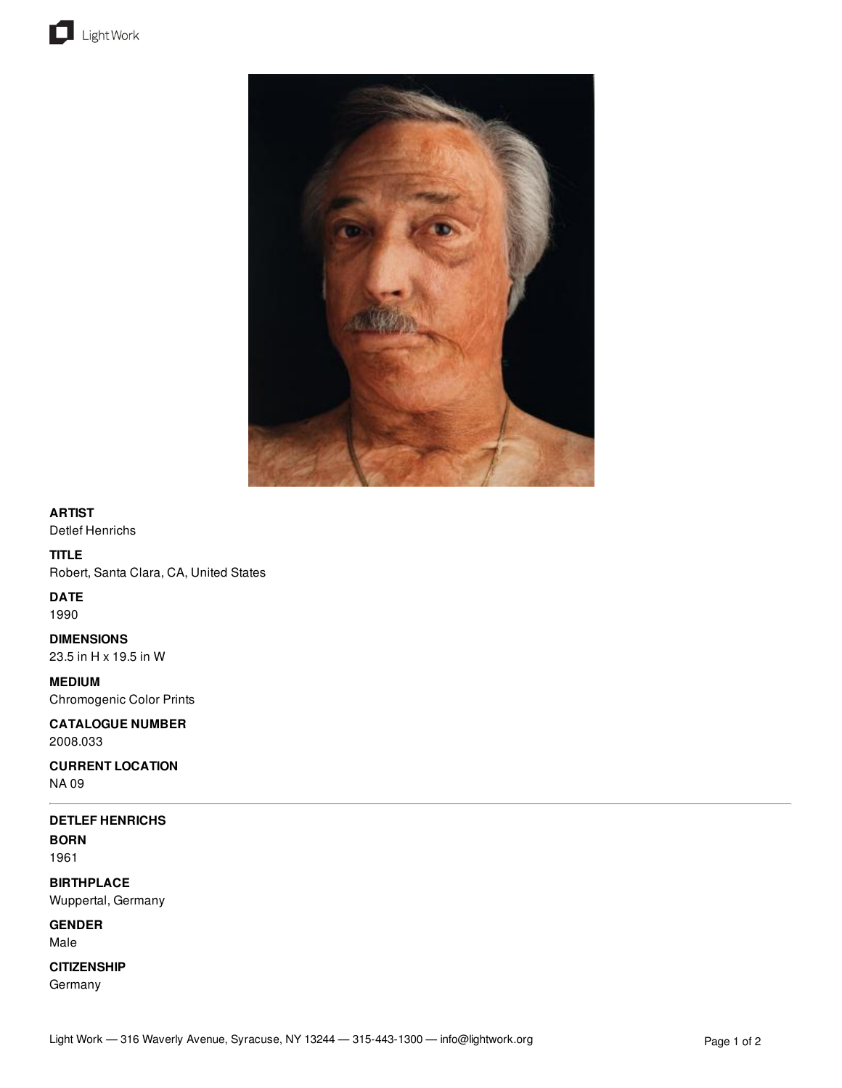



## **ARTIST**

Detlef Henrichs

# **TITLE**

Robert, Santa Clara, CA, United States

## **DATE**

1990

**DIMENSIONS** 23.5 in H x 19.5 in W

**MEDIUM** Chromogenic Color Prints

**CATALOGUE NUMBER** 2008.033

**CURRENT LOCATION** NA 09

# **DETLEF HENRICHS**

**BORN** 1961

**BIRTHPLACE** Wuppertal, Germany

**GENDER** Male

**CITIZENSHIP**

Germany